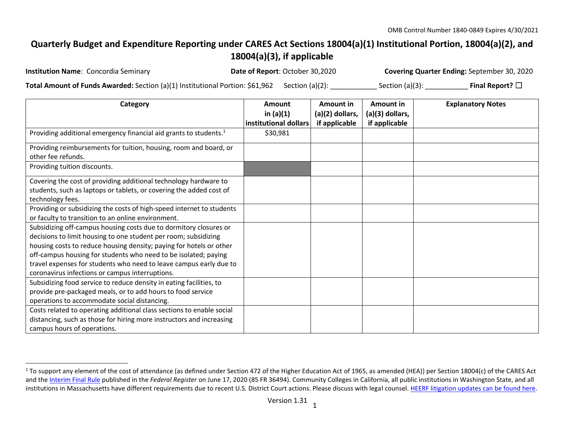## **Quarterly Budget and Expenditure Reporting under CARES Act Sections 18004(a)(1) Institutional Portion, 18004(a)(2), and 18004(a)(3), if applicable**

| <b>Institution Name: Concordia Seminary</b>                                                           | Date of Report: October 30,2020 | <b>Covering Quarter Ending: September 30, 2020</b> |                         |
|-------------------------------------------------------------------------------------------------------|---------------------------------|----------------------------------------------------|-------------------------|
| <b>Total Amount of Funds Awarded:</b> Section (a)(1) Institutional Portion: $$61,962$ Section (a)(2): |                                 | Section $(a)(3)$ :                                 | Final Report? $\square$ |

| Category                                                                                                                                                                                                                                                                                                                                                                                                | <b>Amount</b><br>in $(a)(1)$<br>institutional dollars | <b>Amount in</b><br>(a)(2) dollars,<br>if applicable | Amount in<br>(a)(3) dollars,<br>if applicable | <b>Explanatory Notes</b> |
|---------------------------------------------------------------------------------------------------------------------------------------------------------------------------------------------------------------------------------------------------------------------------------------------------------------------------------------------------------------------------------------------------------|-------------------------------------------------------|------------------------------------------------------|-----------------------------------------------|--------------------------|
| Providing additional emergency financial aid grants to students. <sup>1</sup>                                                                                                                                                                                                                                                                                                                           | \$30,981                                              |                                                      |                                               |                          |
| Providing reimbursements for tuition, housing, room and board, or<br>other fee refunds.                                                                                                                                                                                                                                                                                                                 |                                                       |                                                      |                                               |                          |
| Providing tuition discounts.                                                                                                                                                                                                                                                                                                                                                                            |                                                       |                                                      |                                               |                          |
| Covering the cost of providing additional technology hardware to<br>students, such as laptops or tablets, or covering the added cost of<br>technology fees.                                                                                                                                                                                                                                             |                                                       |                                                      |                                               |                          |
| Providing or subsidizing the costs of high-speed internet to students<br>or faculty to transition to an online environment.                                                                                                                                                                                                                                                                             |                                                       |                                                      |                                               |                          |
| Subsidizing off-campus housing costs due to dormitory closures or<br>decisions to limit housing to one student per room; subsidizing<br>housing costs to reduce housing density; paying for hotels or other<br>off-campus housing for students who need to be isolated; paying<br>travel expenses for students who need to leave campus early due to<br>coronavirus infections or campus interruptions. |                                                       |                                                      |                                               |                          |
| Subsidizing food service to reduce density in eating facilities, to<br>provide pre-packaged meals, or to add hours to food service<br>operations to accommodate social distancing.                                                                                                                                                                                                                      |                                                       |                                                      |                                               |                          |
| Costs related to operating additional class sections to enable social<br>distancing, such as those for hiring more instructors and increasing<br>campus hours of operations.                                                                                                                                                                                                                            |                                                       |                                                      |                                               |                          |

 $1$  To support any element of the cost of attendance (as defined under Section 472 of the Higher Education Act of 1965, as amended (HEA)) per Section 18004(c) of the CARES Act and th[e Interim Final Rule](https://www.federalregister.gov/documents/2020/06/17/2020-12965/eligibility-of-students-at-institutions-of-higher-education-for-funds-under-the-coronavirus-aid) published in the Federal Register on June 17, 2020 (85 FR 36494). Community Colleges in California, all public institutions in Washington State, and all institutions in Massachusetts have different requirements due to recent U.S. District Court actions. Please discuss with legal counsel[. HEERF litigation updates can be found here.](https://www2.ed.gov/about/offices/list/ope/heerfupdates.html)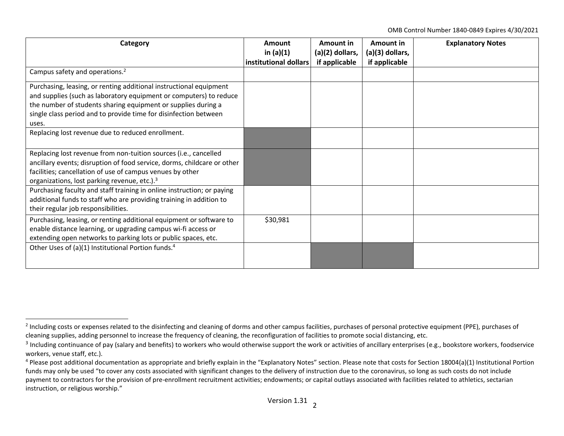OMB Control Number 1840-0849 Expires 4/30/2021

| Category                                                                                                                                                                                                                                                                               | Amount<br>in $(a)(1)$ | Amount in<br>(a)(2) dollars, | Amount in<br>(a)(3) dollars, | <b>Explanatory Notes</b> |
|----------------------------------------------------------------------------------------------------------------------------------------------------------------------------------------------------------------------------------------------------------------------------------------|-----------------------|------------------------------|------------------------------|--------------------------|
|                                                                                                                                                                                                                                                                                        | institutional dollars | if applicable                | if applicable                |                          |
| Campus safety and operations. <sup>2</sup>                                                                                                                                                                                                                                             |                       |                              |                              |                          |
| Purchasing, leasing, or renting additional instructional equipment<br>and supplies (such as laboratory equipment or computers) to reduce<br>the number of students sharing equipment or supplies during a<br>single class period and to provide time for disinfection between<br>uses. |                       |                              |                              |                          |
| Replacing lost revenue due to reduced enrollment.                                                                                                                                                                                                                                      |                       |                              |                              |                          |
| Replacing lost revenue from non-tuition sources (i.e., cancelled<br>ancillary events; disruption of food service, dorms, childcare or other<br>facilities; cancellation of use of campus venues by other<br>organizations, lost parking revenue, etc.). <sup>3</sup>                   |                       |                              |                              |                          |
| Purchasing faculty and staff training in online instruction; or paying<br>additional funds to staff who are providing training in addition to<br>their regular job responsibilities.                                                                                                   |                       |                              |                              |                          |
| Purchasing, leasing, or renting additional equipment or software to<br>enable distance learning, or upgrading campus wi-fi access or<br>extending open networks to parking lots or public spaces, etc.                                                                                 | \$30,981              |                              |                              |                          |
| Other Uses of (a)(1) Institutional Portion funds. <sup>4</sup>                                                                                                                                                                                                                         |                       |                              |                              |                          |

<sup>&</sup>lt;sup>2</sup> Including costs or expenses related to the disinfecting and cleaning of dorms and other campus facilities, purchases of personal protective equipment (PPE), purchases of cleaning supplies, adding personnel to increase the frequency of cleaning, the reconfiguration of facilities to promote social distancing, etc.

 $^3$  Including continuance of pay (salary and benefits) to workers who would otherwise support the work or activities of ancillary enterprises (e.g., bookstore workers, foodservice workers, venue staff, etc.).

 $4$  Please post additional documentation as appropriate and briefly explain in the "Explanatory Notes" section. Please note that costs for Section 18004(a)(1) Institutional Portion funds may only be used "to cover any costs associated with significant changes to the delivery of instruction due to the coronavirus, so long as such costs do not include payment to contractors for the provision of pre-enrollment recruitment activities; endowments; or capital outlays associated with facilities related to athletics, sectarian instruction, or religious worship."